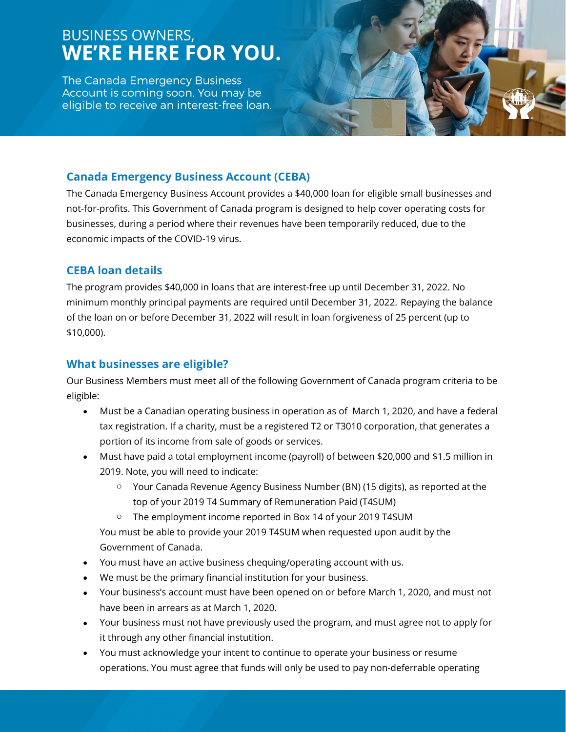# **BUSINESS OWNERS, WE'RE HERE FOR YOU.**

The Canada Emergency Business Account is coming soon. You may be eligible to receive an interest-free loan.

## **Canada Emergency Business Account (CEBA)**

The Canada Emergency Business Account provides a \$40,000 loan for eligible small businesses and not-for-profits. This Government of Canada program is designed to help cover operating costs for businesses, during a period where their revenues have been temporarily reduced, due to the economic impacts of the COVID-19 virus.

## **CEBA loan details**

The program provides \$40,000 in loans that are interest-free up until December 31, 2022. No minimum monthly principal payments are required until December 31, 2022. Repaying the balance of the loan on or before December 31, 2022 will result in loan forgiveness of 25 percent (up to \$10,000).

### **What businesses are eligible?**

Our Business Members must meet all of the following Government of Canada program criteria to be eligible:

- Must be a Canadian operating business in operation as of March 1, 2020, and have a federal tax registration. If a charity, must be a registered T2 or T3010 corporation, that generates a portion of its income from sale of goods or services.
- Must have paid a total employment income (payroll) of between \$20,000 and \$1.5 million in 2019. Note, you will need to indicate:
	- o Your Canada Revenue Agency Business Number (BN) (15 digits), as reported at the top of your 2019 T4 Summary of Remuneration Paid (T4SUM)
	- o The employment income reported in Box 14 of your 2019 T4SUM

You must be able to provide your 2019 T4SUM when requested upon audit by the Government of Canada.

- You must have an active business chequing/operating account with us.
- We must be the primary financial institution for your business.
- Your business's account must have been opened on or before March 1, 2020, and must not have been in arrears as at March 1, 2020.
- Your business must not have previously used the program, and must agree not to apply for it through any other financial instutition.
- You must acknowledge your intent to continue to operate your business or resume operations. You must agree that funds will only be used to pay non-deferrable operating